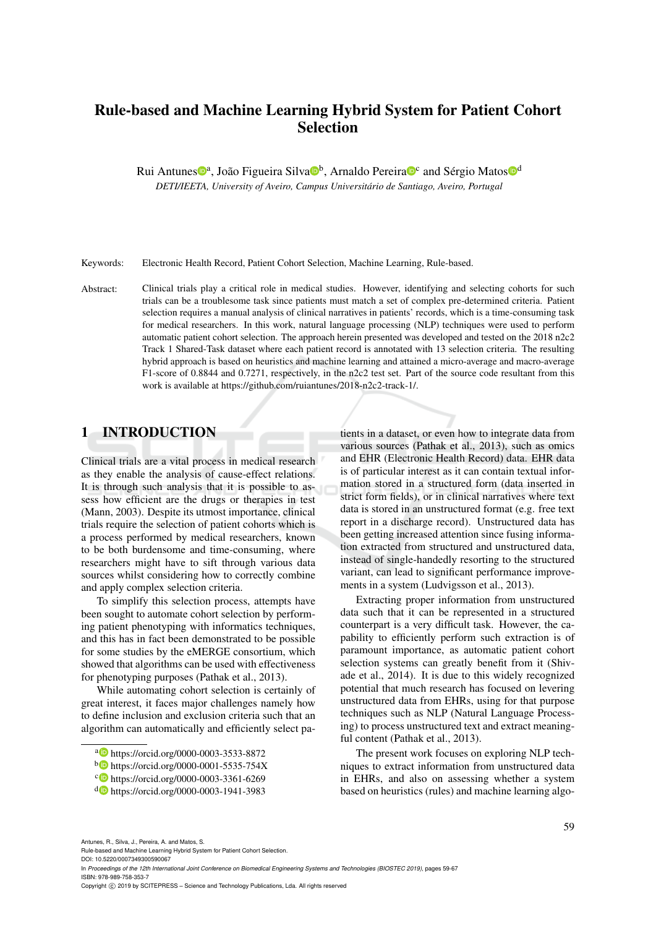# Rule-based and Machine Learning Hybrid System for Patient Cohort Selection

Rui Antunes<sup>®a</sup>, João Figueira Silva<sup>®b</sup>, Arnaldo Pereira®<sup>c</sup> and Sérgio Matos<sup>®d</sup>

*DETI/IEETA, University of Aveiro, Campus Universitário de Santiago, Aveiro, Portugal*

Keywords: Electronic Health Record, Patient Cohort Selection, Machine Learning, Rule-based.

Abstract: Clinical trials play a critical role in medical studies. However, identifying and selecting cohorts for such trials can be a troublesome task since patients must match a set of complex pre-determined criteria. Patient selection requires a manual analysis of clinical narratives in patients' records, which is a time-consuming task for medical researchers. In this work, natural language processing (NLP) techniques were used to perform automatic patient cohort selection. The approach herein presented was developed and tested on the 2018 n2c2 Track 1 Shared-Task dataset where each patient record is annotated with 13 selection criteria. The resulting hybrid approach is based on heuristics and machine learning and attained a micro-average and macro-average F1-score of 0.8844 and 0.7271, respectively, in the n2c2 test set. Part of the source code resultant from this work is available at https://github.com/ruiantunes/2018-n2c2-track-1/.

## 1 INTRODUCTION

Clinical trials are a vital process in medical research as they enable the analysis of cause-effect relations. It is through such analysis that it is possible to assess how efficient are the drugs or therapies in test (Mann, 2003). Despite its utmost importance, clinical trials require the selection of patient cohorts which is a process performed by medical researchers, known to be both burdensome and time-consuming, where researchers might have to sift through various data sources whilst considering how to correctly combine and apply complex selection criteria.

To simplify this selection process, attempts have been sought to automate cohort selection by performing patient phenotyping with informatics techniques, and this has in fact been demonstrated to be possible for some studies by the eMERGE consortium, which showed that algorithms can be used with effectiveness for phenotyping purposes (Pathak et al., 2013).

While automating cohort selection is certainly of great interest, it faces major challenges namely how to define inclusion and exclusion criteria such that an algorithm can automatically and efficiently select patients in a dataset, or even how to integrate data from various sources (Pathak et al., 2013), such as omics and EHR (Electronic Health Record) data. EHR data is of particular interest as it can contain textual information stored in a structured form (data inserted in strict form fields), or in clinical narratives where text data is stored in an unstructured format (e.g. free text report in a discharge record). Unstructured data has been getting increased attention since fusing information extracted from structured and unstructured data, instead of single-handedly resorting to the structured variant, can lead to significant performance improvements in a system (Ludvigsson et al., 2013).

Extracting proper information from unstructured data such that it can be represented in a structured counterpart is a very difficult task. However, the capability to efficiently perform such extraction is of paramount importance, as automatic patient cohort selection systems can greatly benefit from it (Shivade et al., 2014). It is due to this widely recognized potential that much research has focused on levering unstructured data from EHRs, using for that purpose techniques such as NLP (Natural Language Processing) to process unstructured text and extract meaningful content (Pathak et al., 2013).

The present work focuses on exploring NLP techniques to extract information from unstructured data in EHRs, and also on assessing whether a system based on heuristics (rules) and machine learning algo-

Antunes, R., Silva, J., Pereira, A. and Matos, S.

Rule-based and Machine Learning Hybrid System for Patient Cohort Selection.

DOI: 10.5220/0007349300590067 In *Proceedings of the 12th International Joint Conference on Biomedical Engineering Systems and Technologies (BIOSTEC 2019)*, pages 59-67 ISBN: 978-989-758-353-7

a https://orcid.org/0000-0003-3533-8872

<sup>b</sup> https://orcid.org/0000-0001-5535-754X

c https://orcid.org/0000-0003-3361-6269

<sup>d</sup> https://orcid.org/0000-0003-1941-3983

Copyright (C) 2019 by SCITEPRESS - Science and Technology Publications, Lda. All rights reserved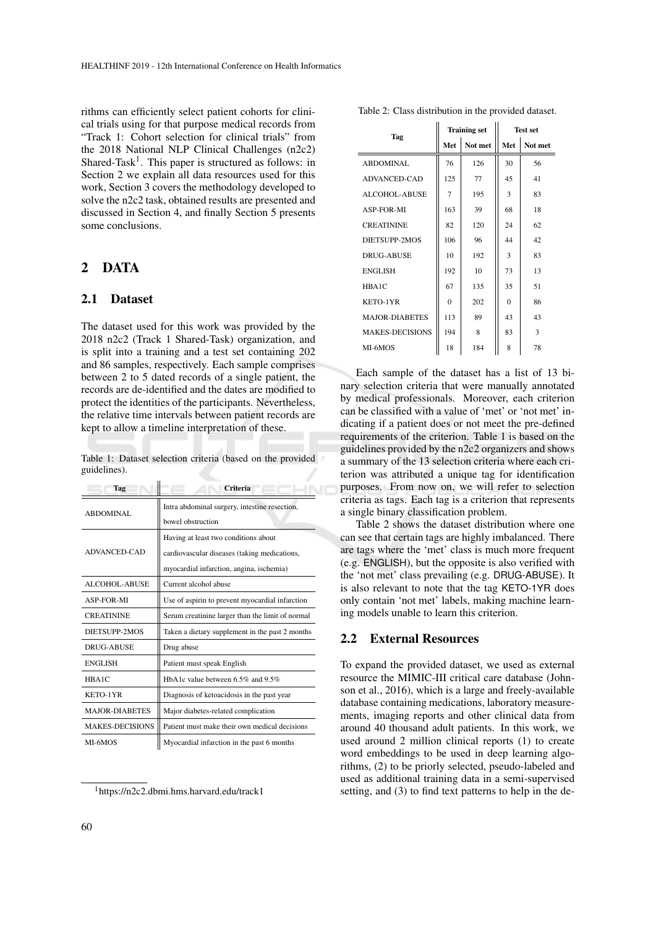rithms can efficiently select patient cohorts for clinical trials using for that purpose medical records from "Track 1: Cohort selection for clinical trials" from the 2018 National NLP Clinical Challenges (n2c2) Shared-Task<sup>1</sup>. This paper is structured as follows: in Section 2 we explain all data resources used for this work, Section 3 covers the methodology developed to solve the n2c2 task, obtained results are presented and discussed in Section 4, and finally Section 5 presents some conclusions.

## 2 DATA

#### 2.1 Dataset

The dataset used for this work was provided by the 2018 n2c2 (Track 1 Shared-Task) organization, and is split into a training and a test set containing 202 and 86 samples, respectively. Each sample comprises between 2 to 5 dated records of a single patient, the records are de-identified and the dates are modified to protect the identities of the participants. Nevertheless, the relative time intervals between patient records are kept to allow a timeline interpretation of these.

Table 1: Dataset selection criteria (based on the provided guidelines).

| Tag                    | <b>Criteria</b>                                  |  |  |  |  |  |  |
|------------------------|--------------------------------------------------|--|--|--|--|--|--|
| <b>ABDOMINAL</b>       | Intra abdominal surgery, intestine resection,    |  |  |  |  |  |  |
|                        | bowel obstruction                                |  |  |  |  |  |  |
|                        | Having at least two conditions about             |  |  |  |  |  |  |
| ADVANCED-CAD           | cardiovascular diseases (taking medications,     |  |  |  |  |  |  |
|                        | myocardial infarction, angina, ischemia)         |  |  |  |  |  |  |
| ALCOHOL-ABUSE          | Current alcohol abuse                            |  |  |  |  |  |  |
| <b>ASP-FOR-MI</b>      | Use of aspirin to prevent myocardial infarction  |  |  |  |  |  |  |
| <b>CREATININE</b>      | Serum creatinine larger than the limit of normal |  |  |  |  |  |  |
| DIETSUPP-2MOS          | Taken a dietary supplement in the past 2 months  |  |  |  |  |  |  |
| DRUG-ABUSE             | Drug abuse                                       |  |  |  |  |  |  |
| <b>ENGLISH</b>         | Patient must speak English                       |  |  |  |  |  |  |
| HBA1C                  | HbA1c value between 6.5% and 9.5%                |  |  |  |  |  |  |
| KETO-1YR               | Diagnosis of ketoacidosis in the past year       |  |  |  |  |  |  |
| <b>MAJOR-DIABETES</b>  | Major diabetes-related complication              |  |  |  |  |  |  |
| <b>MAKES-DECISIONS</b> | Patient must make their own medical decisions    |  |  |  |  |  |  |
| MI-6MOS                | Myocardial infarction in the past 6 months       |  |  |  |  |  |  |

<sup>1</sup>https://n2c2.dbmi.hms.harvard.edu/track1

Table 2: Class distribution in the provided dataset.

| Tag                    |                | <b>Training set</b> |            | <b>Test set</b> |
|------------------------|----------------|---------------------|------------|-----------------|
|                        | Met            | Not met             | <b>Met</b> | Not met         |
| ABDOMINAL              | 76             | 126                 | 30         | 56              |
| <b>ADVANCED-CAD</b>    | 125            | 77                  | 45         | 41              |
| ALCOHOL-ABUSE          | $\overline{7}$ | 195                 | 3          | 83              |
| ASP-FOR-MI             | 163            | 39                  | 68         | 18              |
| <b>CREATININE</b>      | 82             | 120                 | 24         | 62              |
| DIETSUPP-2MOS          | 106            | 96                  | 44         | 42              |
| DRUG-ABUSE             | 10             | 192                 | 3          | 83              |
| <b>ENGLISH</b>         | 192            | 10                  | 73         | 13              |
| HBA1C                  | 67             | 135                 | 35         | 51              |
| KETO-1YR               | $\Omega$       | 202                 | $\Omega$   | 86              |
| <b>MAJOR-DIABETES</b>  | 113            | 89                  | 43         | 43              |
| <b>MAKES-DECISIONS</b> | 194            | 8                   | 83         | 3               |
| MI-6MOS                | 18             | 184                 | 8          | 78              |

Each sample of the dataset has a list of 13 binary selection criteria that were manually annotated by medical professionals. Moreover, each criterion can be classified with a value of 'met' or 'not met' indicating if a patient does or not meet the pre-defined requirements of the criterion. Table 1 is based on the guidelines provided by the n2c2 organizers and shows a summary of the 13 selection criteria where each criterion was attributed a unique tag for identification purposes. From now on, we will refer to selection criteria as tags. Each tag is a criterion that represents a single binary classification problem.

Table 2 shows the dataset distribution where one can see that certain tags are highly imbalanced. There are tags where the 'met' class is much more frequent (e.g. ENGLISH), but the opposite is also verified with the 'not met' class prevailing (e.g. DRUG-ABUSE). It is also relevant to note that the tag KETO-1YR does only contain 'not met' labels, making machine learning models unable to learn this criterion.

#### 2.2 External Resources

To expand the provided dataset, we used as external resource the MIMIC-III critical care database (Johnson et al., 2016), which is a large and freely-available database containing medications, laboratory measurements, imaging reports and other clinical data from around 40 thousand adult patients. In this work, we used around 2 million clinical reports (1) to create word embeddings to be used in deep learning algorithms, (2) to be priorly selected, pseudo-labeled and used as additional training data in a semi-supervised setting, and (3) to find text patterns to help in the de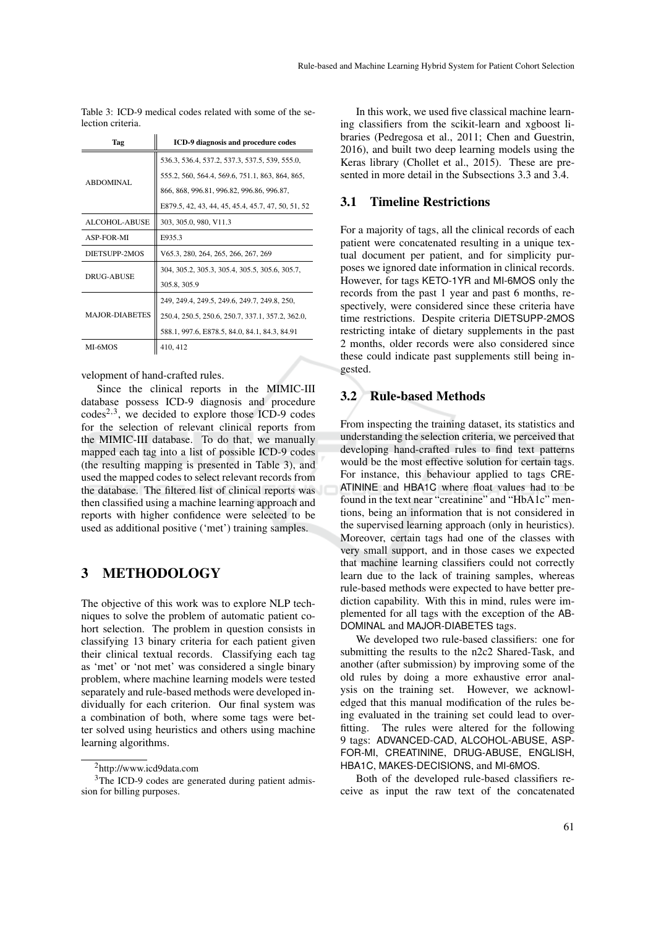Table 3: ICD-9 medical codes related with some of the selection criteria.

| Tag                   | ICD-9 diagnosis and procedure codes                |
|-----------------------|----------------------------------------------------|
|                       | 536.3, 536.4, 537.2, 537.3, 537.5, 539, 555.0,     |
| <b>ABDOMINAL</b>      | 555.2, 560, 564.4, 569.6, 751.1, 863, 864, 865,    |
|                       | 866, 868, 996.81, 996.82, 996.86, 996.87,          |
|                       | E879.5, 42, 43, 44, 45, 45.4, 45.7, 47, 50, 51, 52 |
| <b>ALCOHOL-ABUSE</b>  | 303, 305.0, 980, V11.3                             |
| <b>ASP-FOR-MI</b>     | E935.3                                             |
| DIETSUPP-2MOS         | V65.3, 280, 264, 265, 266, 267, 269                |
| <b>DRUG-ABUSE</b>     | 304, 305.2, 305.3, 305.4, 305.5, 305.6, 305.7,     |
|                       | 305.8, 305.9                                       |
|                       | 249, 249.4, 249.5, 249.6, 249.7, 249.8, 250,       |
| <b>MAJOR-DIABETES</b> | 250.4, 250.5, 250.6, 250.7, 337.1, 357.2, 362.0,   |
|                       | 588.1, 997.6, E878.5, 84.0, 84.1, 84.3, 84.91      |
| MI-6MOS               | 410, 412                                           |

velopment of hand-crafted rules.

Since the clinical reports in the MIMIC-III database possess ICD-9 diagnosis and procedure  $codes^{2,3}$ , we decided to explore those ICD-9 codes for the selection of relevant clinical reports from the MIMIC-III database. To do that, we manually mapped each tag into a list of possible ICD-9 codes (the resulting mapping is presented in Table 3), and used the mapped codes to select relevant records from the database. The filtered list of clinical reports was then classified using a machine learning approach and reports with higher confidence were selected to be used as additional positive ('met') training samples.

## 3 METHODOLOGY

The objective of this work was to explore NLP techniques to solve the problem of automatic patient cohort selection. The problem in question consists in classifying 13 binary criteria for each patient given their clinical textual records. Classifying each tag as 'met' or 'not met' was considered a single binary problem, where machine learning models were tested separately and rule-based methods were developed individually for each criterion. Our final system was a combination of both, where some tags were better solved using heuristics and others using machine learning algorithms.

In this work, we used five classical machine learning classifiers from the scikit-learn and xgboost libraries (Pedregosa et al., 2011; Chen and Guestrin, 2016), and built two deep learning models using the Keras library (Chollet et al., 2015). These are presented in more detail in the Subsections 3.3 and 3.4.

### 3.1 Timeline Restrictions

For a majority of tags, all the clinical records of each patient were concatenated resulting in a unique textual document per patient, and for simplicity purposes we ignored date information in clinical records. However, for tags KETO-1YR and MI-6MOS only the records from the past 1 year and past 6 months, respectively, were considered since these criteria have time restrictions. Despite criteria DIETSUPP-2MOS restricting intake of dietary supplements in the past 2 months, older records were also considered since these could indicate past supplements still being ingested.

### 3.2 Rule-based Methods

From inspecting the training dataset, its statistics and understanding the selection criteria, we perceived that developing hand-crafted rules to find text patterns would be the most effective solution for certain tags. For instance, this behaviour applied to tags CRE-ATININE and HBA1C where float values had to be found in the text near "creatinine" and "HbA1c" mentions, being an information that is not considered in the supervised learning approach (only in heuristics). Moreover, certain tags had one of the classes with very small support, and in those cases we expected that machine learning classifiers could not correctly learn due to the lack of training samples, whereas rule-based methods were expected to have better prediction capability. With this in mind, rules were implemented for all tags with the exception of the AB-DOMINAL and MAJOR-DIABETES tags.

We developed two rule-based classifiers: one for submitting the results to the n2c2 Shared-Task, and another (after submission) by improving some of the old rules by doing a more exhaustive error analysis on the training set. However, we acknowledged that this manual modification of the rules being evaluated in the training set could lead to overfitting. The rules were altered for the following 9 tags: ADVANCED-CAD, ALCOHOL-ABUSE, ASP-FOR-MI, CREATININE, DRUG-ABUSE, ENGLISH, HBA1C, MAKES-DECISIONS, and MI-6MOS.

Both of the developed rule-based classifiers receive as input the raw text of the concatenated

<sup>2</sup>http://www.icd9data.com

<sup>&</sup>lt;sup>3</sup>The ICD-9 codes are generated during patient admission for billing purposes.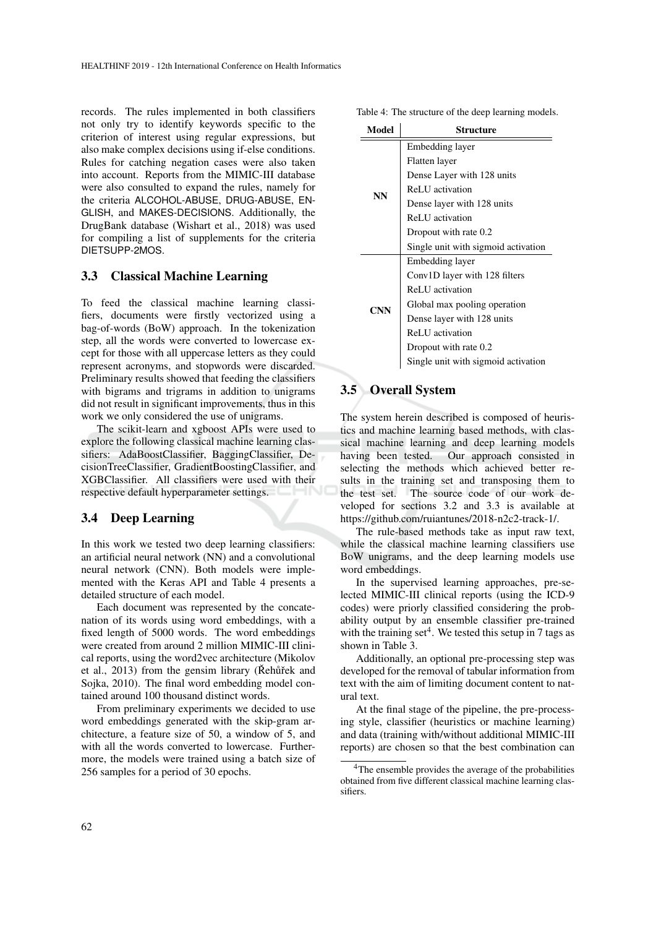records. The rules implemented in both classifiers not only try to identify keywords specific to the criterion of interest using regular expressions, but also make complex decisions using if-else conditions. Rules for catching negation cases were also taken into account. Reports from the MIMIC-III database were also consulted to expand the rules, namely for the criteria ALCOHOL-ABUSE, DRUG-ABUSE, EN-GLISH, and MAKES-DECISIONS. Additionally, the DrugBank database (Wishart et al., 2018) was used for compiling a list of supplements for the criteria DIETSUPP-2MOS.

#### 3.3 Classical Machine Learning

To feed the classical machine learning classifiers, documents were firstly vectorized using a bag-of-words (BoW) approach. In the tokenization step, all the words were converted to lowercase except for those with all uppercase letters as they could represent acronyms, and stopwords were discarded. Preliminary results showed that feeding the classifiers with bigrams and trigrams in addition to unigrams did not result in significant improvements, thus in this work we only considered the use of unigrams.

The scikit-learn and xgboost APIs were used to explore the following classical machine learning classifiers: AdaBoostClassifier, BaggingClassifier, DecisionTreeClassifier, GradientBoostingClassifier, and XGBClassifier. All classifiers were used with their respective default hyperparameter settings.

#### 3.4 Deep Learning

In this work we tested two deep learning classifiers: an artificial neural network (NN) and a convolutional neural network (CNN). Both models were implemented with the Keras API and Table 4 presents a detailed structure of each model.

Each document was represented by the concatenation of its words using word embeddings, with a fixed length of 5000 words. The word embeddings were created from around 2 million MIMIC-III clinical reports, using the word2vec architecture (Mikolov et al.,  $2013$ ) from the gensim library (Rehurt and Sojka, 2010). The final word embedding model contained around 100 thousand distinct words.

From preliminary experiments we decided to use word embeddings generated with the skip-gram architecture, a feature size of 50, a window of 5, and with all the words converted to lowercase. Furthermore, the models were trained using a batch size of 256 samples for a period of 30 epochs.

Table 4: The structure of the deep learning models.

| Model     | Structure                           |  |  |  |  |  |
|-----------|-------------------------------------|--|--|--|--|--|
|           | Embedding layer                     |  |  |  |  |  |
|           | Flatten layer                       |  |  |  |  |  |
|           | Dense Layer with 128 units          |  |  |  |  |  |
| <b>NN</b> | ReLU activation                     |  |  |  |  |  |
|           | Dense layer with 128 units          |  |  |  |  |  |
|           | ReLU activation                     |  |  |  |  |  |
|           | Dropout with rate 0.2               |  |  |  |  |  |
|           | Single unit with sigmoid activation |  |  |  |  |  |
|           | Embedding layer                     |  |  |  |  |  |
|           | Conv1D layer with 128 filters       |  |  |  |  |  |
|           | ReLU activation                     |  |  |  |  |  |
| CNN       | Global max pooling operation        |  |  |  |  |  |
|           | Dense layer with 128 units          |  |  |  |  |  |
|           | ReLU activation                     |  |  |  |  |  |
|           | Dropout with rate 0.2               |  |  |  |  |  |
|           | Single unit with sigmoid activation |  |  |  |  |  |

### 3.5 Overall System

The system herein described is composed of heuristics and machine learning based methods, with classical machine learning and deep learning models having been tested. Our approach consisted in selecting the methods which achieved better results in the training set and transposing them to the test set. The source code of our work developed for sections 3.2 and 3.3 is available at https://github.com/ruiantunes/2018-n2c2-track-1/.

The rule-based methods take as input raw text, while the classical machine learning classifiers use BoW unigrams, and the deep learning models use word embeddings.

In the supervised learning approaches, pre-selected MIMIC-III clinical reports (using the ICD-9 codes) were priorly classified considering the probability output by an ensemble classifier pre-trained with the training set<sup>4</sup>. We tested this setup in 7 tags as shown in Table 3.

Additionally, an optional pre-processing step was developed for the removal of tabular information from text with the aim of limiting document content to natural text.

At the final stage of the pipeline, the pre-processing style, classifier (heuristics or machine learning) and data (training with/without additional MIMIC-III reports) are chosen so that the best combination can

<sup>&</sup>lt;sup>4</sup>The ensemble provides the average of the probabilities obtained from five different classical machine learning classifiers.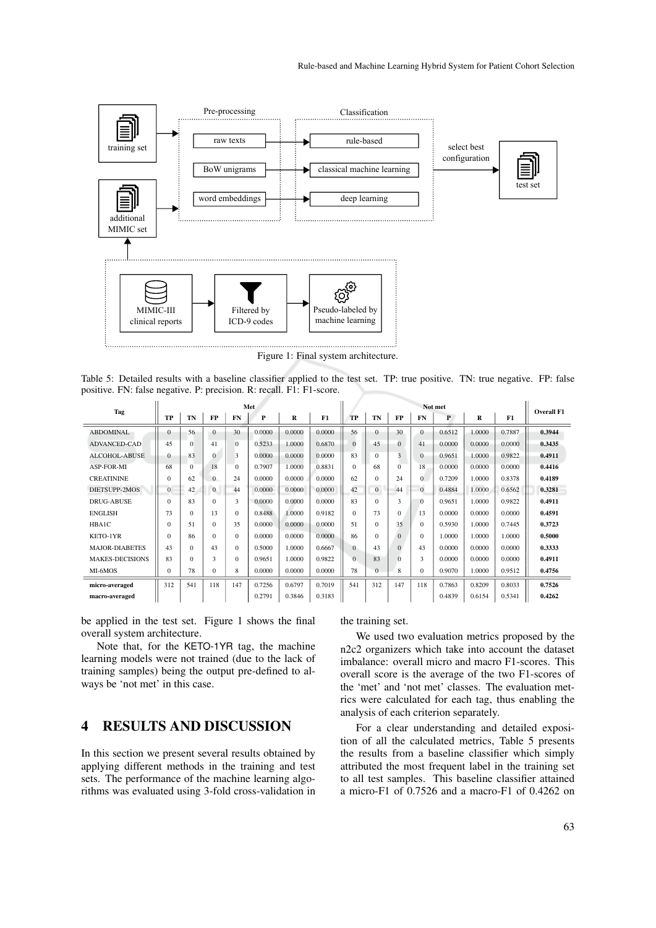

Figure 1: Final system architecture.

Table 5: Detailed results with a baseline classifier applied to the test set. TP: true positive. TN: true negative. FP: false positive. FN: false negative. P: precision. R: recall. F1: F1-score.

| Tag                    | Met          |          |          |          |        |        | Not met |           |          |                |          |        |        |        |                   |
|------------------------|--------------|----------|----------|----------|--------|--------|---------|-----------|----------|----------------|----------|--------|--------|--------|-------------------|
|                        | TP           | TN       | FP       | FN       | P      | R      | F1      | <b>TP</b> | TN       | FP             | FN       | P      | R      | F1     | <b>Overall F1</b> |
| <b>ABDOMINAL</b>       | 0            | 56       | $\Omega$ | 30       | 0.0000 | 0.0000 | 0.0000  | 56        | 0        | 30             | $\Omega$ | 0.6512 | 1.0000 | 0.7887 | 0.3944            |
| <b>ADVANCED-CAD</b>    | 45           | $\Omega$ | 41       | $\Omega$ | 0.5233 | 1.0000 | 0.6870  | $\Omega$  | 45       | $\mathbf{0}$   | 41       | 0.0000 | 0.0000 | 0.0000 | 0.3435            |
| <b>ALCOHOL-ABUSE</b>   | 0            | 83       | $\Omega$ | 3        | 0.0000 | 0.0000 | 0.0000  | 83        | $\Omega$ | 3              | $\Omega$ | 0.9651 | 1.0000 | 0.9822 | 0.4911            |
| <b>ASP-FOR-MI</b>      | 68           | $\Omega$ | 18       | $\Omega$ | 0.7907 | 1.0000 | 0.8831  | $\Omega$  | 68       | $\overline{0}$ | 18       | 0.0000 | 0.0000 | 0.0000 | 0.4416            |
| <b>CREATININE</b>      | $\Omega$     | 62       | $\Omega$ | 24       | 0.0000 | 0.0000 | 0.0000  | 62        | $\Omega$ | 24             | $\Omega$ | 0.7209 | 1.0000 | 0.8378 | 0.4189            |
| DIETSUPP-2MOS          | $\mathbf{0}$ | 42       | $\Omega$ | 44       | 0.0000 | 0.0000 | 0.0000  | 42        | $\Omega$ | 44             | $\Omega$ | 0.4884 | 1.0000 | 0.6562 | 0.3281            |
| <b>DRUG-ABUSE</b>      | $\Omega$     | 83       | $\Omega$ | 3        | 0.0000 | 0.0000 | 0.0000  | 83        | $\Omega$ | 3              | $\Omega$ | 0.9651 | 1.0000 | 0.9822 | 0.4911            |
| <b>ENGLISH</b>         | 73           | $\Omega$ | 13       | $\Omega$ | 0.8488 | 1.0000 | 0.9182  | $\Omega$  | 73       | $\Omega$       | 13       | 0.0000 | 0.0000 | 0.0000 | 0.4591            |
| HBA1C                  | $\Omega$     | 51       | $\Omega$ | 35       | 0.0000 | 0.0000 | 0.0000  | 51        | $\Omega$ | 35             | $\Omega$ | 0.5930 | 1.0000 | 0.7445 | 0.3723            |
| KETO-1YR               | $\Omega$     | 86       | $\Omega$ | $\Omega$ | 0.0000 | 0.0000 | 0.0000  | 86        | $\Omega$ | $\mathbf{0}$   | $\Omega$ | 1.0000 | 1.0000 | 1.0000 | 0.5000            |
| <b>MAJOR-DIABETES</b>  | 43           | $\Omega$ | 43       | $\Omega$ | 0.5000 | 1.0000 | 0.6667  | $\Omega$  | 43       | $\Omega$       | 43       | 0.0000 | 0.0000 | 0.0000 | 0.3333            |
| <b>MAKES-DECISIONS</b> | 83           | $\Omega$ | 3        | $\Omega$ | 0.9651 | 1.0000 | 0.9822  | $\Omega$  | 83       | $\Omega$       | 3        | 0.0000 | 0.0000 | 0.0000 | 0.4911            |
| MI-6MOS                | $\Omega$     | 78       | 0        | 8        | 0.0000 | 0.0000 | 0.0000  | 78        | $\Omega$ | 8              | $\Omega$ | 0.9070 | 1.0000 | 0.9512 | 0.4756            |
| micro-averaged         | 312          | 541      | 118      | 147      | 0.7256 | 0.6797 | 0.7019  | 541       | 312      | 147            | 118      | 0.7863 | 0.8209 | 0.8033 | 0.7526            |
| macro-averaged         |              |          |          |          | 0.2791 | 0.3846 | 0.3183  |           |          |                |          | 0.4839 | 0.6154 | 0.5341 | 0.4262            |

be applied in the test set. Figure 1 shows the final overall system architecture.

Note that, for the KETO-1YR tag, the machine learning models were not trained (due to the lack of training samples) being the output pre-defined to always be 'not met' in this case.

## 4 RESULTS AND DISCUSSION

In this section we present several results obtained by applying different methods in the training and test sets. The performance of the machine learning algorithms was evaluated using 3-fold cross-validation in the training set.

We used two evaluation metrics proposed by the n2c2 organizers which take into account the dataset imbalance: overall micro and macro F1-scores. This overall score is the average of the two F1-scores of the 'met' and 'not met' classes. The evaluation metrics were calculated for each tag, thus enabling the analysis of each criterion separately.

For a clear understanding and detailed exposition of all the calculated metrics, Table 5 presents the results from a baseline classifier which simply attributed the most frequent label in the training set to all test samples. This baseline classifier attained a micro-F1 of 0.7526 and a macro-F1 of 0.4262 on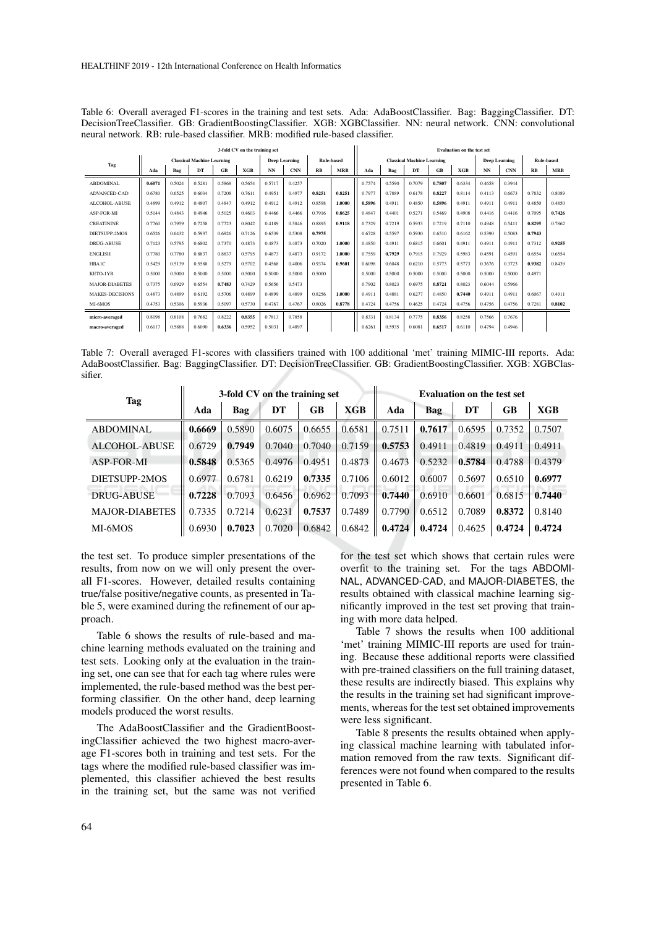Table 6: Overall averaged F1-scores in the training and test sets. Ada: AdaBoostClassifier. Bag: BaggingClassifier. DT: DecisionTreeClassifier. GB: GradientBoostingClassifier. XGB: XGBClassifier. NN: neural network. CNN: convolutional neural network. RB: rule-based classifier. MRB: modified rule-based classifier.

| 3-fold CV on the training set |                                   |        |        |        |        | <b>Evaluation on the test set</b> |                                           |        |            |                                   |        |        |        |                      |        |            |        |            |
|-------------------------------|-----------------------------------|--------|--------|--------|--------|-----------------------------------|-------------------------------------------|--------|------------|-----------------------------------|--------|--------|--------|----------------------|--------|------------|--------|------------|
| Tag                           | <b>Classical Machine Learning</b> |        |        |        |        |                                   | <b>Rule-based</b><br><b>Deep Learning</b> |        |            | <b>Classical Machine Learning</b> |        |        |        | <b>Deep Learning</b> |        | Rule-based |        |            |
|                               | Ada                               | Bag    | DT     | GB     | XGB    | <b>NN</b>                         | <b>CNN</b>                                | RB     | <b>MRB</b> | Ada                               | Bag    | DT     | GB     | <b>XGB</b>           | NN     | <b>CNN</b> | RB     | <b>MRB</b> |
| <b>ABDOMINAL</b>              | 0.6071                            | 0.5024 | 0.5281 | 0.5868 | 0.5654 | 0.5717                            | 0.4257                                    |        |            | 0.7574                            | 0.5590 | 0.7079 | 0.7807 | 0.6334               | 0.4658 | 0.3944     |        |            |
| ADVANCED-CAD                  | 0.6780                            | 0.6525 | 0.6034 | 0.7208 | 0.7611 | 0.4951                            | 0.4977                                    | 0.8251 | 0.8251     | 0.7977                            | 0.7889 | 0.6178 | 0.8227 | 0.8114               | 0.4113 | 0.6673     | 0.7832 | 0.8089     |
| ALCOHOL-ABUSE                 | 0.4899                            | 0.4912 | 0.4807 | 0.4847 | 0.4912 | 0.4912                            | 0.4912                                    | 0.8598 | 1.0000     | 0.5896                            | 0.4911 | 0.4850 | 0.5896 | 0.4911               | 0.4911 | 0.4911     | 0.4850 | 0.4850     |
| ASP-FOR-MI                    | 0.5144                            | 0.4843 | 0.4946 | 0.5025 | 0.4603 | 0.4466                            | 0.4466                                    | 0.7916 | 0.8625     | 0.4847                            | 0.4401 | 0.5271 | 0.5469 | 0.4908               | 0.4416 | 0.4416     | 0.7095 | 0.7426     |
| <b>CREATININE</b>             | 0.7760                            | 0.7959 | 0.7258 | 0.7723 | 0.8042 | 0.4189                            | 0.5846                                    | 0.8895 | 0.9118     | 0.7329                            | 0.7219 | 0.5933 | 0.7219 | 0.7110               | 0.4948 | 0.5411     | 0.8295 | 0.7862     |
| DIETSUPP-2MOS                 | 0.6526                            | 0.6432 | 0.5937 | 0.6926 | 0.7126 | 0.6539                            | 0.5308                                    | 0.7975 |            | 0.6728                            | 0.5597 | 0.5930 | 0.6510 | 0.6162               | 0.5390 | 0.5083     | 0.7943 |            |
| DRUG-ABUSE                    | 0.7123                            | 0.5795 | 0.6802 | 0.7370 | 0.4873 | 0.4873                            | 0.4873                                    | 0.7020 | 1.0000     | 0.4850                            | 0.4911 | 0.6815 | 0.6601 | 0.4911               | 0.4911 | 0.4911     | 0.7312 | 0.9255     |
| <b>ENGLISH</b>                | 0.7780                            | 0.7780 | 0.8837 | 0.8837 | 0.5795 | 0.4873                            | 0.4873                                    | 0.9172 | 1.0000     | 0.7559                            | 0.7929 | 0.7915 | 0.7929 | 0.5983               | 0.4591 | 0.4591     | 0.6554 | 0.6554     |
| <b>HBAIC</b>                  | 0.5429                            | 0.5139 | 0.5588 | 0.5279 | 0.5702 | 0.4568                            | 0.4006                                    | 0.9374 | 0.9601     | 0.6098                            | 0.6048 | 0.6210 | 0.5773 | 0.5773               | 0.3676 | 0.3723     | 0.9382 | 0.8439     |
| KETO-1YR                      | 0.5000                            | 0.5000 | 0.5000 | 0.5000 | 0.5000 | 0.5000                            | 0.5000                                    | 0.5000 |            | 0.5000                            | 0.5000 | 0.5000 | 0.5000 | 0.5000               | 0.5000 | 0.5000     | 0.4971 |            |
| <b>MAJOR-DIABETES</b>         | 0.7375                            | 0.6929 | 0.6554 | 0.7483 | 0.7429 | 0.5656                            | 0.5473                                    |        |            | 0.7902                            | 0.8023 | 0.6975 | 0.8721 | 0.8023               | 0.6044 | 0.5966     |        |            |
| <b>MAKES-DECISIONS</b>        | 0.4873                            | 0.4899 | 0.6192 | 0.5706 | 0.4899 | 0.4899                            | 0.4899                                    | 0.8256 | 1.0000     | 0.4911                            | 0.4881 | 0.6277 | 0.4850 | 0.7440               | 0.4911 | 0.4911     | 0.6067 | 0.4911     |
| MI-6MOS                       | 0.4753                            | 0.5306 | 0.5936 | 0.5097 | 0.5730 | 0.4767                            | 0.4767                                    | 0.8026 | 0.8778     | 0.4724                            | 0.4756 | 0.4625 | 0.4724 | 0.4756               | 0.4756 | 0.4756     | 0.7281 | 0.8102     |
| micro-averaged                | 0.8198                            | 0.8108 | 0.7682 | 0.8222 | 0.8355 | 0.7813                            | 0.7858                                    |        |            | 0.8331                            | 0.8134 | 0.7775 | 0.8356 | 0.8258               | 0.7566 | 0.7676     |        |            |
| macro-averaged                | 0.6117                            | 0.5888 | 0.6090 | 0.6336 | 0.5952 | 0.5031                            | 0.4897                                    |        |            | 0.6261                            | 0.5935 | 0.6081 | 0.6517 | 0.6110               | 0.4794 | 0.4946     |        |            |

Table 7: Overall averaged F1-scores with classifiers trained with 100 additional 'met' training MIMIC-III reports. Ada: AdaBoostClassifier. Bag: BaggingClassifier. DT: DecisionTreeClassifier. GB: GradientBoostingClassifier. XGB: XGBClassifier.

| Tag                   |        |        | 3-fold CV on the training set |        |        | <b>Evaluation on the test set</b> |        |        |        |        |  |
|-----------------------|--------|--------|-------------------------------|--------|--------|-----------------------------------|--------|--------|--------|--------|--|
|                       | Ada    | Bag    | DT                            | GB     | XGB    | Ada                               | Bag    | DT     | GB     | XGB    |  |
| <b>ABDOMINAL</b>      | 0.6669 | 0.5890 | 0.6075                        | 0.6655 | 0.6581 | 0.7511                            | 0.7617 | 0.6595 | 0.7352 | 0.7507 |  |
| <b>ALCOHOL-ABUSE</b>  | 0.6729 | 0.7949 | 0.7040                        | 0.7040 | 0.7159 | 0.5753                            | 0.4911 | 0.4819 | 0.4911 | 0.4911 |  |
| <b>ASP-FOR-MI</b>     | 0.5848 | 0.5365 | 0.4976                        | 0.4951 | 0.4873 | 0.4673                            | 0.5232 | 0.5784 | 0.4788 | 0.4379 |  |
| DIETSUPP-2MOS         | 0.6977 | 0.6781 | 0.6219                        | 0.7335 | 0.7106 | 0.6012                            | 0.6007 | 0.5697 | 0.6510 | 0.6977 |  |
| <b>DRUG-ABUSE</b>     | 0.7228 | 0.7093 | 0.6456                        | 0.6962 | 0.7093 | 0.7440                            | 0.6910 | 0.6601 | 0.6815 | 0.7440 |  |
| <b>MAJOR-DIABETES</b> | 0.7335 | 0.7214 | 0.6231                        | 0.7537 | 0.7489 | 0.7790                            | 0.6512 | 0.7089 | 0.8372 | 0.8140 |  |
| MI-6MOS               | 0.6930 | 0.7023 | 0.7020                        | 0.6842 | 0.6842 | 0.4724                            | 0.4724 | 0.4625 | 0.4724 | 0.4724 |  |

the test set. To produce simpler presentations of the results, from now on we will only present the overall F1-scores. However, detailed results containing true/false positive/negative counts, as presented in Table 5, were examined during the refinement of our approach.

Table 6 shows the results of rule-based and machine learning methods evaluated on the training and test sets. Looking only at the evaluation in the training set, one can see that for each tag where rules were implemented, the rule-based method was the best performing classifier. On the other hand, deep learning models produced the worst results.

The AdaBoostClassifier and the GradientBoostingClassifier achieved the two highest macro-average F1-scores both in training and test sets. For the tags where the modified rule-based classifier was implemented, this classifier achieved the best results in the training set, but the same was not verified

for the test set which shows that certain rules were overfit to the training set. For the tags ABDOMI-NAL, ADVANCED-CAD, and MAJOR-DIABETES, the results obtained with classical machine learning significantly improved in the test set proving that training with more data helped.

Table 7 shows the results when 100 additional 'met' training MIMIC-III reports are used for training. Because these additional reports were classified with pre-trained classifiers on the full training dataset, these results are indirectly biased. This explains why the results in the training set had significant improvements, whereas for the test set obtained improvements were less significant.

Table 8 presents the results obtained when applying classical machine learning with tabulated information removed from the raw texts. Significant differences were not found when compared to the results presented in Table 6.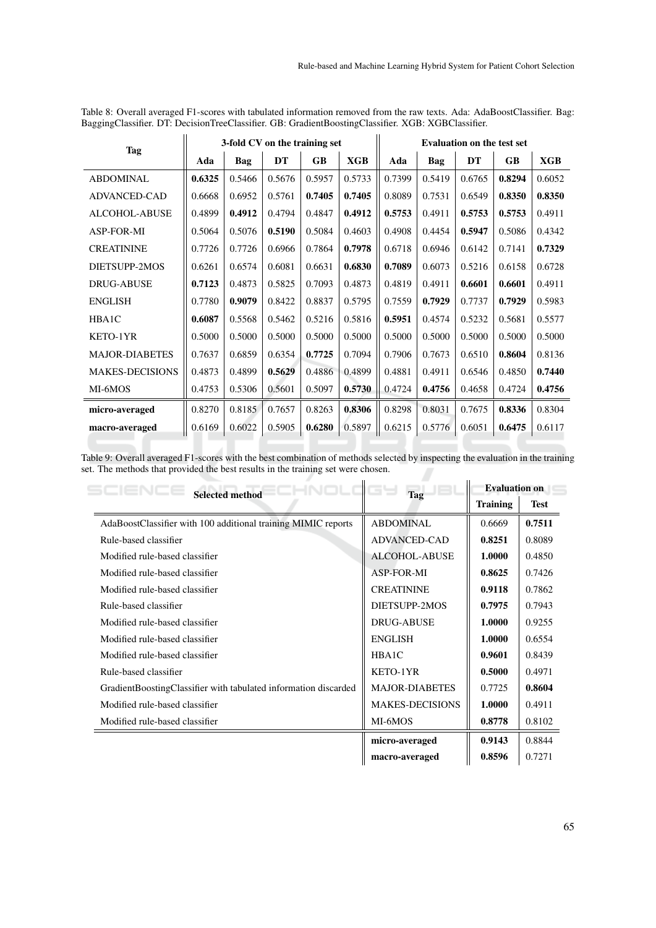| Tag                    |        | 3-fold CV on the training set |        |           | <b>Evaluation on the test set</b> |        |        |           |           |            |
|------------------------|--------|-------------------------------|--------|-----------|-----------------------------------|--------|--------|-----------|-----------|------------|
|                        | Ada    | Bag                           | DT     | <b>GB</b> | <b>XGB</b>                        | Ada    | Bag    | <b>DT</b> | <b>GB</b> | <b>XGB</b> |
| <b>ABDOMINAL</b>       | 0.6325 | 0.5466                        | 0.5676 | 0.5957    | 0.5733                            | 0.7399 | 0.5419 | 0.6765    | 0.8294    | 0.6052     |
| <b>ADVANCED-CAD</b>    | 0.6668 | 0.6952                        | 0.5761 | 0.7405    | 0.7405                            | 0.8089 | 0.7531 | 0.6549    | 0.8350    | 0.8350     |
| <b>ALCOHOL-ABUSE</b>   | 0.4899 | 0.4912                        | 0.4794 | 0.4847    | 0.4912                            | 0.5753 | 0.4911 | 0.5753    | 0.5753    | 0.4911     |
| <b>ASP-FOR-MI</b>      | 0.5064 | 0.5076                        | 0.5190 | 0.5084    | 0.4603                            | 0.4908 | 0.4454 | 0.5947    | 0.5086    | 0.4342     |
| <b>CREATININE</b>      | 0.7726 | 0.7726                        | 0.6966 | 0.7864    | 0.7978                            | 0.6718 | 0.6946 | 0.6142    | 0.7141    | 0.7329     |
| DIETSUPP-2MOS          | 0.6261 | 0.6574                        | 0.6081 | 0.6631    | 0.6830                            | 0.7089 | 0.6073 | 0.5216    | 0.6158    | 0.6728     |
| <b>DRUG-ABUSE</b>      | 0.7123 | 0.4873                        | 0.5825 | 0.7093    | 0.4873                            | 0.4819 | 0.4911 | 0.6601    | 0.6601    | 0.4911     |
| <b>ENGLISH</b>         | 0.7780 | 0.9079                        | 0.8422 | 0.8837    | 0.5795                            | 0.7559 | 0.7929 | 0.7737    | 0.7929    | 0.5983     |
| HBA1C                  | 0.6087 | 0.5568                        | 0.5462 | 0.5216    | 0.5816                            | 0.5951 | 0.4574 | 0.5232    | 0.5681    | 0.5577     |
| KETO-1YR               | 0.5000 | 0.5000                        | 0.5000 | 0.5000    | 0.5000                            | 0.5000 | 0.5000 | 0.5000    | 0.5000    | 0.5000     |
| <b>MAJOR-DIABETES</b>  | 0.7637 | 0.6859                        | 0.6354 | 0.7725    | 0.7094                            | 0.7906 | 0.7673 | 0.6510    | 0.8604    | 0.8136     |
| <b>MAKES-DECISIONS</b> | 0.4873 | 0.4899                        | 0.5629 | 0.4886    | 0.4899                            | 0.4881 | 0.4911 | 0.6546    | 0.4850    | 0.7440     |
| MI-6MOS                | 0.4753 | 0.5306                        | 0.5601 | 0.5097    | 0.5730                            | 0.4724 | 0.4756 | 0.4658    | 0.4724    | 0.4756     |
| micro-averaged         | 0.8270 | 0.8185                        | 0.7657 | 0.8263    | 0.8306                            | 0.8298 | 0.8031 | 0.7675    | 0.8336    | 0.8304     |
| macro-averaged         | 0.6169 | 0.6022                        | 0.5905 | 0.6280    | 0.5897                            | 0.6215 | 0.5776 | 0.6051    | 0.6475    | 0.6117     |

Table 8: Overall averaged F1-scores with tabulated information removed from the raw texts. Ada: AdaBoostClassifier. Bag: BaggingClassifier. DT: DecisionTreeClassifier. GB: GradientBoostingClassifier. XGB: XGBClassifier.  $\mathbf{u}$ 

Table 9: Overall averaged F1-scores with the best combination of methods selected by inspecting the evaluation in the training set. The methods that provided the best results in the training set were chosen.

| <b>Selected method</b>                                          | --<br>Tag              | <b>Evaluation on</b> |             |  |  |
|-----------------------------------------------------------------|------------------------|----------------------|-------------|--|--|
|                                                                 |                        | <b>Training</b>      | <b>Test</b> |  |  |
| AdaBoostClassifier with 100 additional training MIMIC reports   | <b>ABDOMINAL</b>       | 0.6669               | 0.7511      |  |  |
| Rule-based classifier                                           | <b>ADVANCED-CAD</b>    | 0.8251               | 0.8089      |  |  |
| Modified rule-based classifier                                  | ALCOHOL-ABUSE          | 1.0000               | 0.4850      |  |  |
| Modified rule-based classifier                                  | ASP-FOR-MI             | 0.8625               | 0.7426      |  |  |
| Modified rule-based classifier                                  | <b>CREATININE</b>      | 0.9118               | 0.7862      |  |  |
| Rule-based classifier                                           | DIETSUPP-2MOS          | 0.7975               | 0.7943      |  |  |
| Modified rule-based classifier                                  | <b>DRUG-ABUSE</b>      | 1.0000               | 0.9255      |  |  |
| Modified rule-based classifier                                  | <b>ENGLISH</b>         | 1.0000               | 0.6554      |  |  |
| Modified rule-based classifier                                  | HBA1C                  | 0.9601               | 0.8439      |  |  |
| Rule-based classifier                                           | KETO-1YR               | 0.5000               | 0.4971      |  |  |
| GradientBoostingClassifier with tabulated information discarded | <b>MAJOR-DIABETES</b>  | 0.7725               | 0.8604      |  |  |
| Modified rule-based classifier                                  | <b>MAKES-DECISIONS</b> | 1.0000               | 0.4911      |  |  |
| Modified rule-based classifier                                  | MI-6MOS                | 0.8778               | 0.8102      |  |  |
|                                                                 | micro-averaged         | 0.9143               | 0.8844      |  |  |
|                                                                 | macro-averaged         | 0.8596               | 0.7271      |  |  |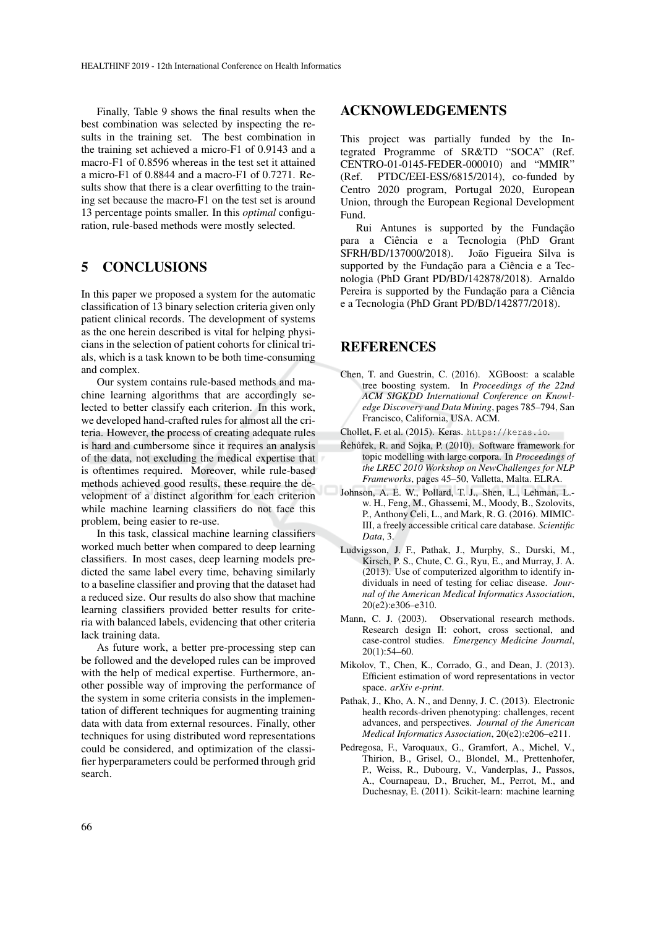Finally, Table 9 shows the final results when the best combination was selected by inspecting the results in the training set. The best combination in the training set achieved a micro-F1 of 0.9143 and a macro-F1 of 0.8596 whereas in the test set it attained a micro-F1 of 0.8844 and a macro-F1 of 0.7271. Results show that there is a clear overfitting to the training set because the macro-F1 on the test set is around 13 percentage points smaller. In this *optimal* configuration, rule-based methods were mostly selected.

## 5 CONCLUSIONS

In this paper we proposed a system for the automatic classification of 13 binary selection criteria given only patient clinical records. The development of systems as the one herein described is vital for helping physicians in the selection of patient cohorts for clinical trials, which is a task known to be both time-consuming and complex.

Our system contains rule-based methods and machine learning algorithms that are accordingly selected to better classify each criterion. In this work, we developed hand-crafted rules for almost all the criteria. However, the process of creating adequate rules is hard and cumbersome since it requires an analysis of the data, not excluding the medical expertise that is oftentimes required. Moreover, while rule-based methods achieved good results, these require the development of a distinct algorithm for each criterion while machine learning classifiers do not face this problem, being easier to re-use.

In this task, classical machine learning classifiers worked much better when compared to deep learning classifiers. In most cases, deep learning models predicted the same label every time, behaving similarly to a baseline classifier and proving that the dataset had a reduced size. Our results do also show that machine learning classifiers provided better results for criteria with balanced labels, evidencing that other criteria lack training data.

As future work, a better pre-processing step can be followed and the developed rules can be improved with the help of medical expertise. Furthermore, another possible way of improving the performance of the system in some criteria consists in the implementation of different techniques for augmenting training data with data from external resources. Finally, other techniques for using distributed word representations could be considered, and optimization of the classifier hyperparameters could be performed through grid search.

### ACKNOWLEDGEMENTS

This project was partially funded by the Integrated Programme of SR&TD "SOCA" (Ref. CENTRO-01-0145-FEDER-000010) and "MMIR" (Ref. PTDC/EEI-ESS/6815/2014), co-funded by Centro 2020 program, Portugal 2020, European Union, through the European Regional Development Fund.

Rui Antunes is supported by the Fundação para a Ciência e a Tecnologia (PhD Grant SFRH/BD/137000/2018). João Figueira Silva is supported by the Fundação para a Ciência e a Tecnologia (PhD Grant PD/BD/142878/2018). Arnaldo Pereira is supported by the Fundação para a Ciência e a Tecnologia (PhD Grant PD/BD/142877/2018).

### REFERENCES

- Chen, T. and Guestrin, C. (2016). XGBoost: a scalable tree boosting system. In *Proceedings of the 22nd ACM SIGKDD International Conference on Knowledge Discovery and Data Mining*, pages 785–794, San Francisco, California, USA. ACM.
- Chollet, F. et al. (2015). Keras. https://keras.io.
- Řehůřek, R. and Sojka, P. (2010). Software framework for topic modelling with large corpora. In *Proceedings of the LREC 2010 Workshop on NewChallenges for NLP Frameworks*, pages 45–50, Valletta, Malta. ELRA.
- Johnson, A. E. W., Pollard, T. J., Shen, L., Lehman, L. w. H., Feng, M., Ghassemi, M., Moody, B., Szolovits, P., Anthony Celi, L., and Mark, R. G. (2016). MIMIC-III, a freely accessible critical care database. *Scientific Data*, 3.
- Ludvigsson, J. F., Pathak, J., Murphy, S., Durski, M., Kirsch, P. S., Chute, C. G., Ryu, E., and Murray, J. A. (2013). Use of computerized algorithm to identify individuals in need of testing for celiac disease. *Journal of the American Medical Informatics Association*, 20(e2):e306–e310.
- Mann, C. J. (2003). Observational research methods. Research design II: cohort, cross sectional, and case-control studies. *Emergency Medicine Journal*, 20(1):54–60.
- Mikolov, T., Chen, K., Corrado, G., and Dean, J. (2013). Efficient estimation of word representations in vector space. *arXiv e-print*.
- Pathak, J., Kho, A. N., and Denny, J. C. (2013). Electronic health records-driven phenotyping: challenges, recent advances, and perspectives. *Journal of the American Medical Informatics Association*, 20(e2):e206–e211.
- Pedregosa, F., Varoquaux, G., Gramfort, A., Michel, V., Thirion, B., Grisel, O., Blondel, M., Prettenhofer, P., Weiss, R., Dubourg, V., Vanderplas, J., Passos, A., Cournapeau, D., Brucher, M., Perrot, M., and Duchesnay, E. (2011). Scikit-learn: machine learning